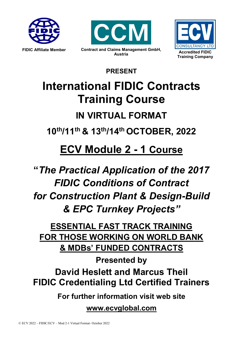





**PRESENT**

# **International FIDIC Contracts Training Course IN VIRTUAL FORMAT**

**10th/11th & 13th/14th OCTOBER, 2022**

# **ECV Module 2 - 1 Course**

**"***The Practical Application of the 2017 FIDIC Conditions of Contract for Construction Plant & Design-Build & EPC Turnkey Projects"*

**ESSENTIAL FAST TRACK TRAINING FOR THOSE WORKING ON WORLD BANK & MDBs' FUNDED CONTRACTS**

**Presented by David Heslett and Marcus Theil FIDIC Credentialing Ltd Certified Trainers**

**For further information visit web site**

**www.ecvglobal.com**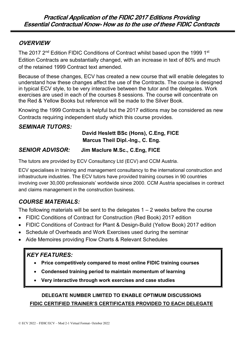## **OVERVIEW**

The 2017 2<sup>nd</sup> Edition FIDIC Conditions of Contract whilst based upon the 1999 1<sup>st</sup> Edition Contracts are substantially changed, with an increase in text of 80% and much of the retained 1999 Contract text amended.

Because of these changes, ECV has created a new course that will enable delegates to understand how these changes affect the use of the Contracts. The course is designed in typical ECV style, to be very interactive between the tutor and the delegates. Work exercises are used in each of the courses 8 sessions. The course will concentrate on the Red & Yellow Books but reference will be made to the Silver Book.

Knowing the 1999 Contracts is helpful but the 2017 editions may be considered as new Contracts requiring independent study which this course provides.

### **SEMINAR TUTORS:**

#### **David Heslett BSc (Hons), C.Eng, FICE Marcus Theil Dipl.-Ing., C. Eng.**

### *SENIOR ADVISOR:* **Jim Maclure M.Sc., C.Eng, FICE**

The tutors are provided by ECV Consultancy Ltd (ECV) and CCM Austria.

ECV specialises in training and management consultancy to the international construction and infrastructure industries. The ECV tutors have provided training courses in 90 countries involving over 30,000 professionals' worldwide since 2000. CCM Austria specialises in contract and claims management in the construction business.

# *COURSE MATERIALS:*

The following materials will be sent to the delegates  $1 - 2$  weeks before the course

- FIDIC Conditions of Contract for Construction (Red Book) 2017 edition
- FIDIC Conditions of Contract for Plant & Design-Build (Yellow Book) 2017 edition
- Schedule of Overheads and Work Exercises used during the seminar
- Aide Memoires providing Flow Charts & Relevant Schedules

# *KEY FEATURES:*

- **Price competitively compared to most online FIDIC training courses**
- **Condensed training period to maintain momentum of learning**
- **Very interactive through work exercises and case studies**

# **DELEGATE NUMBER LIMITED TO ENABLE OPTIMUM DISCUSSIONS FIDIC CERTIFIED TRAINER'S CERTIFICATES PROVIDED TO EACH DELEGATE**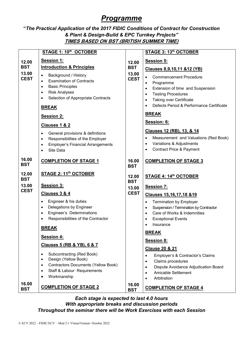# *Programme*

#### **"***The Practical Application of the 2017 FIDIC Conditions of Contract for Construction & Plant & Design-Build & EPC Turnkey Projects"* **TIMES BASED ON BST (BRITISH SUMMER TIME)**

|                                                                    | STAGE 1: 10th OCTOBER                                                                                                                                                                                                                                                                                                                                                                                                                                                                                                                                         |                                                                    | STAGE 3: 13th OCTOBER                                                                                                                                                                                                                                                                                                                                                                                                                                                                                                                                                                   |
|--------------------------------------------------------------------|---------------------------------------------------------------------------------------------------------------------------------------------------------------------------------------------------------------------------------------------------------------------------------------------------------------------------------------------------------------------------------------------------------------------------------------------------------------------------------------------------------------------------------------------------------------|--------------------------------------------------------------------|-----------------------------------------------------------------------------------------------------------------------------------------------------------------------------------------------------------------------------------------------------------------------------------------------------------------------------------------------------------------------------------------------------------------------------------------------------------------------------------------------------------------------------------------------------------------------------------------|
| 12.00<br><b>BST</b><br>13.00<br><b>CEST</b>                        | Session 1:<br><b>Introduction &amp; Principles</b><br>Background / History<br>$\bullet$<br><b>Examination of Contracts</b><br>$\bullet$<br><b>Basic Principles</b><br>$\bullet$<br><b>Risk Analyses</b><br>$\bullet$<br>Selection of Appropriate Contracts<br>$\bullet$<br><b>BREAK</b>                                                                                                                                                                                                                                                                       | 12.00<br><b>BST</b><br>13.00<br><b>CEST</b>                        | <b>Session 5:</b><br><b>Clauses 8,9,10,11 &amp;12 (YB)</b><br><b>Commencement Procedure</b><br>$\bullet$<br>Programme<br>$\bullet$<br>Extension of time and Suspension<br>$\bullet$<br><b>Testing Procedures</b><br>$\bullet$<br>Taking over Certificate<br>$\bullet$<br>Defects Period & Performance Certificate<br>$\bullet$                                                                                                                                                                                                                                                          |
|                                                                    | Session 2:<br><b>Clauses 1 &amp; 2</b><br>General provisions & definitions<br>$\bullet$<br>Responsibilities of the Employer<br>$\bullet$<br><b>Employer's Financial Arrangements</b><br>$\bullet$<br>Site Data<br>$\bullet$                                                                                                                                                                                                                                                                                                                                   |                                                                    | <b>BREAK</b><br>Session: 6:<br>Clauses 12 (RB), 13, & 14<br>Measurement and Valuations (Red Book)<br>$\bullet$<br>Variations & Adjustments<br>$\bullet$<br><b>Contract Price &amp; Payment</b><br>$\bullet$                                                                                                                                                                                                                                                                                                                                                                             |
| 16.00<br><b>BST</b><br>12.00<br><b>BST</b><br>13.00<br><b>CEST</b> | <b>COMPLETION OF STAGE 1</b><br><b>STAGE 2: 11<sup>th</sup> OCTOBER</b><br>Session 3:<br><b>Clauses 3 &amp; 4</b><br>Engineer & his duties<br>$\bullet$<br>Delegations by Engineer<br>$\bullet$<br>Engineer's Determinations<br>$\bullet$<br>Responsibilities of the Contractor<br>$\bullet$<br><b>BREAK</b><br>Session 4:<br>Clauses 5 (RB & YB), 6 & 7<br>Subcontracting (Red Book)<br>$\bullet$<br>Design (Yellow Book)<br>$\bullet$<br><b>Contractors Documents (Yellow Book)</b><br>$\bullet$<br>Staff & Labour Requirements<br>$\bullet$<br>Workmanship | 16.00<br><b>BST</b><br>12.00<br><b>BST</b><br>13.00<br><b>CEST</b> | <b>COMPLETION OF STAGE 3</b><br><b>STAGE 4: 14th OCTOBER</b><br><b>Session 7:</b><br>Clauses 15,16,17,18 &19<br><b>Termination by Employer</b><br>$\bullet$<br>Suspension / Termination by Contractor<br>$\bullet$<br>Care of Works & Indemnities<br>$\bullet$<br><b>Exceptional Events</b><br>$\bullet$<br>Insurance<br>$\bullet$<br><b>BREAK</b><br><b>Session 8:</b><br><b>Clause 20 &amp; 21</b><br>Employer's & Contractor's Claims<br>$\bullet$<br>Claims procedures<br>$\bullet$<br>Dispute Avoidance Adjudication Board<br>$\bullet$<br><b>Amicable Settlement</b><br>$\bullet$ |
| 16.00<br><b>BST</b>                                                | <b>COMPLETION OF STAGE 2</b>                                                                                                                                                                                                                                                                                                                                                                                                                                                                                                                                  | 16.00<br><b>BST</b>                                                | Arbitration<br>$\bullet$<br><b>COMPLETION OF STAGE 4</b>                                                                                                                                                                                                                                                                                                                                                                                                                                                                                                                                |

#### *Each stage is expected to last 4.0 hours With appropriate breaks and discussion periods Throughout the seminar there will be Work Exercises with each Session*